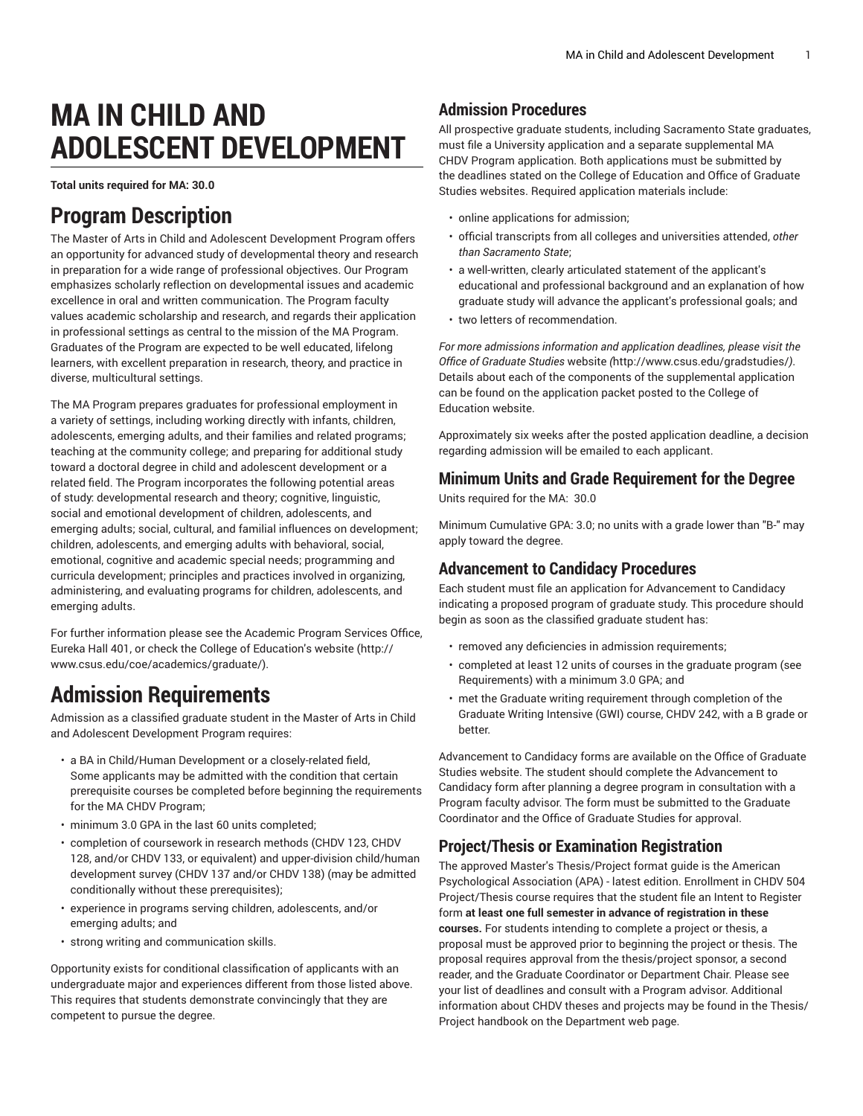# **MA IN CHILD AND ADOLESCENT DEVELOPMENT**

**Total units required for MA: 30.0**

### **Program Description**

The Master of Arts in Child and Adolescent Development Program offers an opportunity for advanced study of developmental theory and research in preparation for a wide range of professional objectives. Our Program emphasizes scholarly reflection on developmental issues and academic excellence in oral and written communication. The Program faculty values academic scholarship and research, and regards their application in professional settings as central to the mission of the MA Program. Graduates of the Program are expected to be well educated, lifelong learners, with excellent preparation in research, theory, and practice in diverse, multicultural settings.

The MA Program prepares graduates for professional employment in a variety of settings, including working directly with infants, children, adolescents, emerging adults, and their families and related programs; teaching at the community college; and preparing for additional study toward a doctoral degree in child and adolescent development or a related field. The Program incorporates the following potential areas of study: developmental research and theory; cognitive, linguistic, social and emotional development of children, adolescents, and emerging adults; social, cultural, and familial influences on development; children, adolescents, and emerging adults with behavioral, social, emotional, cognitive and academic special needs; programming and curricula development; principles and practices involved in organizing, administering, and evaluating programs for children, adolescents, and emerging adults.

For further information please see the Academic Program Services Office, Eureka Hall 401, or check the College of Education's [website](http://www.csus.edu/coe/academics/graduate/) ([http://](http://www.csus.edu/coe/academics/graduate/) [www.csus.edu/coe/academics/graduate/](http://www.csus.edu/coe/academics/graduate/)).

### **Admission Requirements**

Admission as a classified graduate student in the Master of Arts in Child and Adolescent Development Program requires:

- a BA in Child/Human Development or a closely-related field, Some applicants may be admitted with the condition that certain prerequisite courses be completed before beginning the requirements for the MA CHDV Program;
- minimum 3.0 GPA in the last 60 units completed;
- completion of coursework in research methods (CHDV 123, CHDV 128, and/or CHDV 133, or equivalent) and upper-division child/human development survey (CHDV 137 and/or CHDV 138) (may be admitted conditionally without these prerequisites);
- experience in programs serving children, adolescents, and/or emerging adults; and
- strong writing and communication skills.

Opportunity exists for conditional classification of applicants with an undergraduate major and experiences different from those listed above. This requires that students demonstrate convincingly that they are competent to pursue the degree.

#### **Admission Procedures**

All prospective graduate students, including Sacramento State graduates, must file a University application and a separate supplemental MA CHDV Program application. Both applications must be submitted by the deadlines stated on the College of Education and Office of Graduate Studies websites. Required application materials include:

- online applications for admission;
- official transcripts from all colleges and universities attended, *other than Sacramento State*;
- a well-written, clearly articulated statement of the applicant's educational and professional background and an explanation of how graduate study will advance the applicant's professional goals; and
- two letters of recommendation.

*For more admissions information and application deadlines, please visit the Office of Graduate Studies* [website](http://www.csus.edu/gradstudies/) *(*<http://www.csus.edu/gradstudies/>*)*. Details about each of the components of the supplemental application can be found on the application packet posted to the College of Education website.

Approximately six weeks after the posted application deadline, a decision regarding admission will be emailed to each applicant.

#### **Minimum Units and Grade Requirement for the Degree**

Units required for the MA: 30.0

Minimum Cumulative GPA: 3.0; no units with a grade lower than "B-" may apply toward the degree.

#### **Advancement to Candidacy Procedures**

Each student must file an application for Advancement to Candidacy indicating a proposed program of graduate study. This procedure should begin as soon as the classified graduate student has:

- removed any deficiencies in admission requirements;
- completed at least 12 units of courses in the graduate program (see Requirements) with a minimum 3.0 GPA; and
- met the Graduate writing requirement through completion of the Graduate Writing Intensive (GWI) course, CHDV 242, with a B grade or better.

Advancement to Candidacy forms are available on the Office of Graduate Studies website. The student should complete the Advancement to Candidacy form after planning a degree program in consultation with a Program faculty advisor. The form must be submitted to the Graduate Coordinator and the Office of Graduate Studies for approval.

### **Project/Thesis or Examination Registration**

The approved Master's Thesis/Project format guide is the American Psychological Association (APA) - latest edition. Enrollment in [CHDV](/search/?P=CHDV%20504) 504 Project/Thesis course requires that the student file an Intent to Register form **at least one full semester in advance of registration in these courses.** For students intending to complete a project or thesis, a proposal must be approved prior to beginning the project or thesis. The proposal requires approval from the thesis/project sponsor, a second reader, and the Graduate Coordinator or Department Chair. Please see your list of deadlines and consult with a Program advisor. Additional information about CHDV theses and projects may be found in the Thesis/ Project handbook on the Department web page.